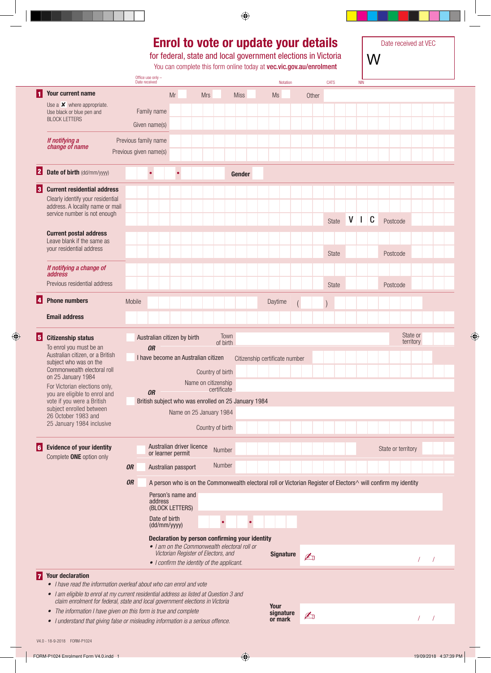#### **Enrol to vote or update your details**

for federal, state and local government elections in Victoria

You can complete this form online today at vec.vic.gov.au/enrolment

Date received at VEC W

|                 |                                                                                                                                                                         |                        | Office use only -<br>Date received |               |                   |                             |                                     |                                                                                                                |             |  |                                | Notation |                          | <b>CATS</b> |              |   | <b>NIN</b> |   |                    |           |  |  |
|-----------------|-------------------------------------------------------------------------------------------------------------------------------------------------------------------------|------------------------|------------------------------------|---------------|-------------------|-----------------------------|-------------------------------------|----------------------------------------------------------------------------------------------------------------|-------------|--|--------------------------------|----------|--------------------------|-------------|--------------|---|------------|---|--------------------|-----------|--|--|
| 11              | Your current name                                                                                                                                                       |                        |                                    |               | Mr                |                             | <b>Mrs</b>                          |                                                                                                                | <b>Miss</b> |  | <b>Ms</b>                      |          | Other                    |             |              |   |            |   |                    |           |  |  |
|                 | Use a $\times$ where appropriate.                                                                                                                                       |                        |                                    |               |                   |                             |                                     |                                                                                                                |             |  |                                |          |                          |             |              |   |            |   |                    |           |  |  |
|                 | Use black or blue pen and<br><b>BLOCK LETTERS</b>                                                                                                                       |                        |                                    | Family name   |                   |                             |                                     |                                                                                                                |             |  |                                |          |                          |             |              |   |            |   |                    |           |  |  |
|                 |                                                                                                                                                                         |                        |                                    | Given name(s) |                   |                             |                                     |                                                                                                                |             |  |                                |          |                          |             |              |   |            |   |                    |           |  |  |
|                 | If notifying a                                                                                                                                                          | Previous family name   |                                    |               |                   |                             |                                     |                                                                                                                |             |  |                                |          |                          |             |              |   |            |   |                    |           |  |  |
|                 | change of name                                                                                                                                                          | Previous given name(s) |                                    |               |                   |                             |                                     |                                                                                                                |             |  |                                |          |                          |             |              |   |            |   |                    |           |  |  |
|                 |                                                                                                                                                                         |                        |                                    |               |                   |                             |                                     |                                                                                                                |             |  |                                |          |                          |             |              |   |            |   |                    |           |  |  |
| 2               | Date of birth (dd/mm/yyyy)                                                                                                                                              |                        |                                    | $\bullet$     |                   |                             |                                     |                                                                                                                | Gender      |  |                                |          |                          |             |              |   |            |   |                    |           |  |  |
| $\vert 3 \vert$ | <b>Current residential address</b>                                                                                                                                      |                        |                                    |               |                   |                             |                                     |                                                                                                                |             |  |                                |          |                          |             |              |   |            |   |                    |           |  |  |
|                 | Clearly identify your residential                                                                                                                                       |                        |                                    |               |                   |                             |                                     |                                                                                                                |             |  |                                |          |                          |             |              |   |            |   |                    |           |  |  |
|                 | address. A locality name or mail                                                                                                                                        |                        |                                    |               |                   |                             |                                     |                                                                                                                |             |  |                                |          |                          |             |              |   |            |   |                    |           |  |  |
|                 | service number is not enough                                                                                                                                            |                        |                                    |               |                   |                             |                                     |                                                                                                                |             |  |                                |          |                          |             | State        | V | Ш          | C | Postcode           |           |  |  |
|                 | <b>Current postal address</b>                                                                                                                                           |                        |                                    |               |                   |                             |                                     |                                                                                                                |             |  |                                |          |                          |             |              |   |            |   |                    |           |  |  |
|                 | Leave blank if the same as                                                                                                                                              |                        |                                    |               |                   |                             |                                     |                                                                                                                |             |  |                                |          |                          |             |              |   |            |   |                    |           |  |  |
|                 | your residential address                                                                                                                                                |                        |                                    |               |                   |                             |                                     |                                                                                                                |             |  |                                |          |                          |             | <b>State</b> |   |            |   | Postcode           |           |  |  |
|                 | If notifying a change of                                                                                                                                                |                        |                                    |               |                   |                             |                                     |                                                                                                                |             |  |                                |          |                          |             |              |   |            |   |                    |           |  |  |
|                 | <i>address</i>                                                                                                                                                          |                        |                                    |               |                   |                             |                                     |                                                                                                                |             |  |                                |          |                          |             |              |   |            |   |                    |           |  |  |
|                 | Previous residential address                                                                                                                                            |                        |                                    |               |                   |                             |                                     |                                                                                                                |             |  |                                |          |                          |             | <b>State</b> |   |            |   | Postcode           |           |  |  |
| 4               | <b>Phone numbers</b>                                                                                                                                                    | Mobile                 |                                    |               |                   |                             |                                     |                                                                                                                |             |  | Daytime                        |          |                          |             |              |   |            |   |                    |           |  |  |
|                 |                                                                                                                                                                         |                        |                                    |               |                   |                             |                                     |                                                                                                                |             |  |                                |          |                          |             |              |   |            |   |                    |           |  |  |
|                 | <b>Email address</b>                                                                                                                                                    |                        |                                    |               |                   |                             |                                     |                                                                                                                |             |  |                                |          |                          |             |              |   |            |   |                    |           |  |  |
| $\vert 5 \vert$ | <b>Citizenship status</b>                                                                                                                                               |                        |                                    |               |                   | Australian citizen by birth |                                     | Town                                                                                                           |             |  |                                |          |                          |             |              |   |            |   |                    | State or  |  |  |
|                 | To enrol you must be an                                                                                                                                                 |                        |                                    | <b>OR</b>     |                   |                             |                                     | of birth                                                                                                       |             |  |                                |          |                          |             |              |   |            |   |                    | territory |  |  |
|                 | Australian citizen, or a British<br>subject who was on the                                                                                                              |                        |                                    |               |                   |                             | I have become an Australian citizen |                                                                                                                |             |  | Citizenship certificate number |          |                          |             |              |   |            |   |                    |           |  |  |
|                 | Commonwealth electoral roll                                                                                                                                             |                        |                                    |               |                   |                             |                                     | Country of birth                                                                                               |             |  |                                |          |                          |             |              |   |            |   |                    |           |  |  |
|                 | on 25 January 1984                                                                                                                                                      |                        |                                    |               |                   |                             |                                     | Name on citizenship                                                                                            |             |  |                                |          |                          |             |              |   |            |   |                    |           |  |  |
|                 | For Victorian elections only,<br>you are eligible to enrol and                                                                                                          |                        |                                    | <b>OR</b>     |                   |                             |                                     | certificate                                                                                                    |             |  |                                |          |                          |             |              |   |            |   |                    |           |  |  |
|                 | vote if you were a British                                                                                                                                              |                        |                                    |               |                   |                             |                                     | British subject who was enrolled on 25 January 1984                                                            |             |  |                                |          |                          |             |              |   |            |   |                    |           |  |  |
|                 | subject enrolled between<br>26 October 1983 and                                                                                                                         |                        |                                    |               |                   |                             |                                     | Name on 25 January 1984                                                                                        |             |  |                                |          |                          |             |              |   |            |   |                    |           |  |  |
|                 | 25 January 1984 inclusive                                                                                                                                               |                        |                                    |               |                   |                             |                                     | Country of birth                                                                                               |             |  |                                |          |                          |             |              |   |            |   |                    |           |  |  |
|                 |                                                                                                                                                                         |                        |                                    |               |                   |                             |                                     |                                                                                                                |             |  |                                |          |                          |             |              |   |            |   |                    |           |  |  |
| 61              | <b>Evidence of your identity</b>                                                                                                                                        |                        |                                    |               | or learner permit | Australian driver licence   |                                     | Number                                                                                                         |             |  |                                |          |                          |             |              |   |            |   | State or territory |           |  |  |
|                 | Complete ONE option only                                                                                                                                                |                        |                                    |               |                   |                             |                                     |                                                                                                                |             |  |                                |          |                          |             |              |   |            |   |                    |           |  |  |
|                 |                                                                                                                                                                         | <b>OR</b>              |                                    |               |                   | Australian passport         |                                     | Number                                                                                                         |             |  |                                |          |                          |             |              |   |            |   |                    |           |  |  |
|                 |                                                                                                                                                                         | <b>OR</b>              |                                    |               |                   |                             |                                     | A person who is on the Commonwealth electoral roll or Victorian Register of Electors^ will confirm my identity |             |  |                                |          |                          |             |              |   |            |   |                    |           |  |  |
|                 |                                                                                                                                                                         |                        |                                    |               |                   | Person's name and           |                                     |                                                                                                                |             |  |                                |          |                          |             |              |   |            |   |                    |           |  |  |
|                 |                                                                                                                                                                         |                        |                                    | address       |                   | (BLOCK LETTERS)             |                                     |                                                                                                                |             |  |                                |          |                          |             |              |   |            |   |                    |           |  |  |
|                 |                                                                                                                                                                         |                        |                                    |               | Date of birth     |                             |                                     |                                                                                                                |             |  |                                |          |                          |             |              |   |            |   |                    |           |  |  |
|                 |                                                                                                                                                                         |                        |                                    |               | (dd/mm/yyyy)      |                             |                                     |                                                                                                                |             |  |                                |          |                          |             |              |   |            |   |                    |           |  |  |
|                 |                                                                                                                                                                         |                        |                                    |               |                   |                             |                                     | Declaration by person confirming your identity                                                                 |             |  |                                |          |                          |             |              |   |            |   |                    |           |  |  |
|                 |                                                                                                                                                                         |                        |                                    |               |                   |                             |                                     | • I am on the Commonwealth electoral roll or<br>Victorian Register of Electors, and                            |             |  | <b>Signature</b>               |          |                          |             |              |   |            |   |                    |           |  |  |
|                 |                                                                                                                                                                         |                        |                                    |               |                   |                             |                                     | • I confirm the identity of the applicant.                                                                     |             |  |                                |          | $\mathbb{Z}_0$           |             |              |   |            |   |                    |           |  |  |
| 17              | <b>Your declaration</b>                                                                                                                                                 |                        |                                    |               |                   |                             |                                     |                                                                                                                |             |  |                                |          |                          |             |              |   |            |   |                    |           |  |  |
|                 | • I have read the information overleaf about who can enrol and vote                                                                                                     |                        |                                    |               |                   |                             |                                     |                                                                                                                |             |  |                                |          |                          |             |              |   |            |   |                    |           |  |  |
|                 | • I am eligible to enrol at my current residential address as listed at Question 3 and<br>claim enrolment for federal, state and local government elections in Victoria |                        |                                    |               |                   |                             |                                     |                                                                                                                |             |  |                                |          |                          |             |              |   |            |   |                    |           |  |  |
|                 | • The information I have given on this form is true and complete                                                                                                        |                        |                                    |               |                   |                             |                                     |                                                                                                                |             |  | Your                           |          |                          |             |              |   |            |   |                    |           |  |  |
|                 | • I understand that giving false or misleading information is a serious offence.                                                                                        |                        |                                    |               |                   |                             |                                     |                                                                                                                |             |  | signature<br>or mark           |          | $\mathcal{L}_\mathbb{J}$ |             |              |   |            |   |                    |           |  |  |